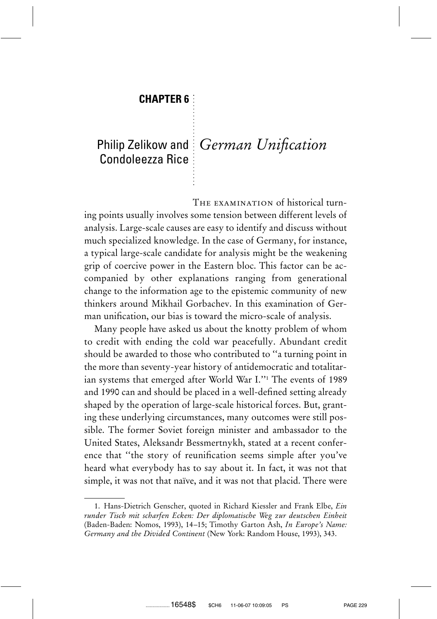# **CHAPTER 6**

# Philip Zelikow and *German Unification* Condoleezza Rice

The examination of historical turning points usually involves some tension between different levels of analysis. Large-scale causes are easy to identify and discuss without much specialized knowledge. In the case of Germany, for instance, a typical large-scale candidate for analysis might be the weakening grip of coercive power in the Eastern bloc. This factor can be accompanied by other explanations ranging from generational change to the information age to the epistemic community of new thinkers around Mikhail Gorbachev. In this examination of German unification, our bias is toward the micro-scale of analysis.

Many people have asked us about the knotty problem of whom to credit with ending the cold war peacefully. Abundant credit should be awarded to those who contributed to ''a turning point in the more than seventy-year history of antidemocratic and totalitarian systems that emerged after World War I.''1 The events of 1989 and 1990 can and should be placed in a well-defined setting already shaped by the operation of large-scale historical forces. But, granting these underlying circumstances, many outcomes were still possible. The former Soviet foreign minister and ambassador to the United States, Aleksandr Bessmertnykh, stated at a recent conference that ''the story of reunification seems simple after you've heard what everybody has to say about it. In fact, it was not that simple, it was not that naïve, and it was not that placid. There were

<sup>1.</sup> Hans-Dietrich Genscher, quoted in Richard Kiessler and Frank Elbe, *Ein runder Tisch mit scharfen Ecken: Der diplomatische Weg zur deutschen Einheit* (Baden-Baden: Nomos, 1993), 14–15; Timothy Garton Ash, *In Europe's Name: Germany and the Divided Continent* (New York: Random House, 1993), 343.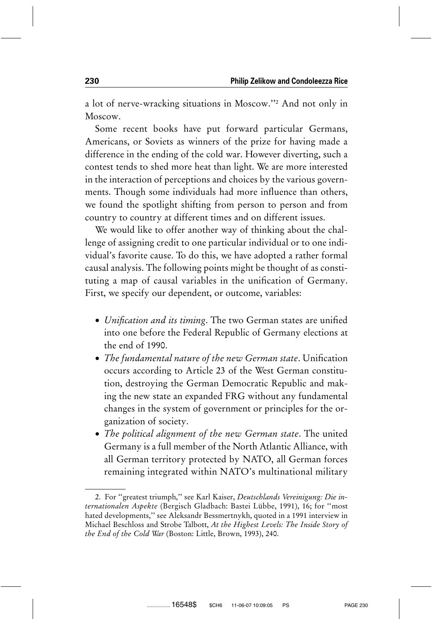a lot of nerve-wracking situations in Moscow.''2 And not only in Moscow.

Some recent books have put forward particular Germans, Americans, or Soviets as winners of the prize for having made a difference in the ending of the cold war. However diverting, such a contest tends to shed more heat than light. We are more interested in the interaction of perceptions and choices by the various governments. Though some individuals had more influence than others, we found the spotlight shifting from person to person and from country to country at different times and on different issues.

We would like to offer another way of thinking about the challenge of assigning credit to one particular individual or to one individual's favorite cause. To do this, we have adopted a rather formal causal analysis. The following points might be thought of as constituting a map of causal variables in the unification of Germany. First, we specify our dependent, or outcome, variables:

- *Unification and its timing*. The two German states are unified into one before the Federal Republic of Germany elections at the end of 1990.
- *The fundamental nature of the new German state*. Unification occurs according to Article 23 of the West German constitution, destroying the German Democratic Republic and making the new state an expanded FRG without any fundamental changes in the system of government or principles for the organization of society.
- *The political alignment of the new German state*. The united Germany is a full member of the North Atlantic Alliance, with all German territory protected by NATO, all German forces remaining integrated within NATO's multinational military

<sup>2.</sup> For ''greatest triumph,'' see Karl Kaiser, *Deutschlands Vereinigung: Die internationalen Aspekte* (Bergisch Gladbach: Bastei Lübbe, 1991), 16; for "most hated developments,'' see Aleksandr Bessmertnykh, quoted in a 1991 interview in Michael Beschloss and Strobe Talbott, *At the Highest Levels: The Inside Story of the End of the Cold War* (Boston: Little, Brown, 1993), 240.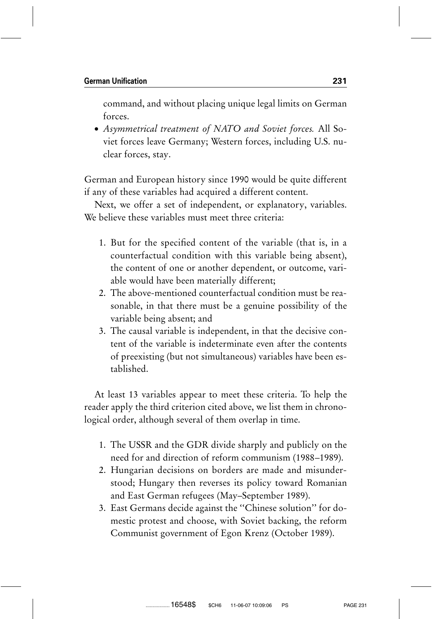command, and without placing unique legal limits on German forces.

• *Asymmetrical treatment of NATO and Soviet forces.* All Soviet forces leave Germany; Western forces, including U.S. nuclear forces, stay.

German and European history since 1990 would be quite different if any of these variables had acquired a different content.

Next, we offer a set of independent, or explanatory, variables. We believe these variables must meet three criteria:

- 1. But for the specified content of the variable (that is, in a counterfactual condition with this variable being absent), the content of one or another dependent, or outcome, variable would have been materially different;
- 2. The above-mentioned counterfactual condition must be reasonable, in that there must be a genuine possibility of the variable being absent; and
- 3. The causal variable is independent, in that the decisive content of the variable is indeterminate even after the contents of preexisting (but not simultaneous) variables have been established.

At least 13 variables appear to meet these criteria. To help the reader apply the third criterion cited above, we list them in chronological order, although several of them overlap in time.

- 1. The USSR and the GDR divide sharply and publicly on the need for and direction of reform communism (1988–1989).
- 2. Hungarian decisions on borders are made and misunderstood; Hungary then reverses its policy toward Romanian and East German refugees (May–September 1989).
- 3. East Germans decide against the ''Chinese solution'' for domestic protest and choose, with Soviet backing, the reform Communist government of Egon Krenz (October 1989).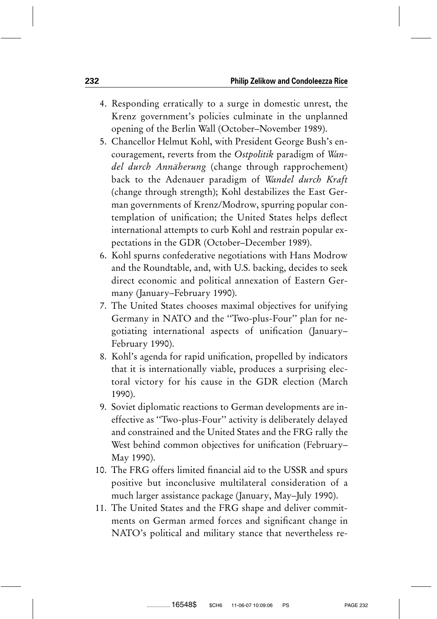- 4. Responding erratically to a surge in domestic unrest, the Krenz government's policies culminate in the unplanned opening of the Berlin Wall (October–November 1989).
- 5. Chancellor Helmut Kohl, with President George Bush's encouragement, reverts from the *Ostpolitik* paradigm of *Wan*del durch Annäherung (change through rapprochement) back to the Adenauer paradigm of *Wandel durch Kraft* (change through strength); Kohl destabilizes the East German governments of Krenz/Modrow, spurring popular contemplation of unification; the United States helps deflect international attempts to curb Kohl and restrain popular expectations in the GDR (October–December 1989).
- 6. Kohl spurns confederative negotiations with Hans Modrow and the Roundtable, and, with U.S. backing, decides to seek direct economic and political annexation of Eastern Germany (January–February 1990).
- 7. The United States chooses maximal objectives for unifying Germany in NATO and the ''Two-plus-Four'' plan for negotiating international aspects of unification (January– February 1990).
- 8. Kohl's agenda for rapid unification, propelled by indicators that it is internationally viable, produces a surprising electoral victory for his cause in the GDR election (March 1990).
- 9. Soviet diplomatic reactions to German developments are ineffective as ''Two-plus-Four'' activity is deliberately delayed and constrained and the United States and the FRG rally the West behind common objectives for unification (February– May 1990).
- 10. The FRG offers limited financial aid to the USSR and spurs positive but inconclusive multilateral consideration of a much larger assistance package (January, May–July 1990).
- 11. The United States and the FRG shape and deliver commitments on German armed forces and significant change in NATO's political and military stance that nevertheless re-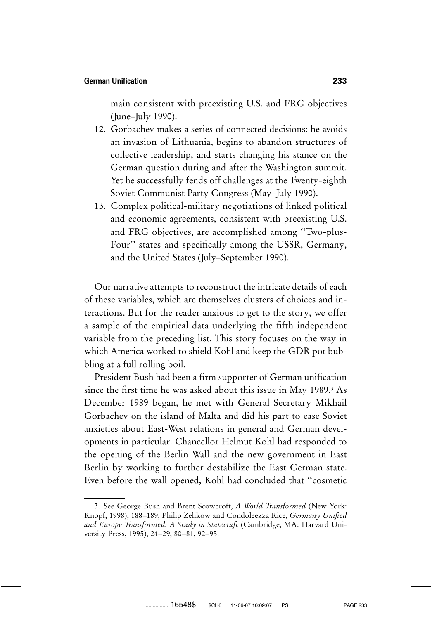main consistent with preexisting U.S. and FRG objectives (June–July 1990).

- 12. Gorbachev makes a series of connected decisions: he avoids an invasion of Lithuania, begins to abandon structures of collective leadership, and starts changing his stance on the German question during and after the Washington summit. Yet he successfully fends off challenges at the Twenty-eighth Soviet Communist Party Congress (May–July 1990).
- 13. Complex political-military negotiations of linked political and economic agreements, consistent with preexisting U.S. and FRG objectives, are accomplished among ''Two-plus-Four'' states and specifically among the USSR, Germany, and the United States (July–September 1990).

Our narrative attempts to reconstruct the intricate details of each of these variables, which are themselves clusters of choices and interactions. But for the reader anxious to get to the story, we offer a sample of the empirical data underlying the fifth independent variable from the preceding list. This story focuses on the way in which America worked to shield Kohl and keep the GDR pot bubbling at a full rolling boil.

President Bush had been a firm supporter of German unification since the first time he was asked about this issue in May 1989.<sup>3</sup> As December 1989 began, he met with General Secretary Mikhail Gorbachev on the island of Malta and did his part to ease Soviet anxieties about East-West relations in general and German developments in particular. Chancellor Helmut Kohl had responded to the opening of the Berlin Wall and the new government in East Berlin by working to further destabilize the East German state. Even before the wall opened, Kohl had concluded that ''cosmetic

<sup>3.</sup> See George Bush and Brent Scowcroft, *A World Transformed* (New York: Knopf, 1998), 188–189; Philip Zelikow and Condoleezza Rice, *Germany Unified and Europe Transformed: A Study in Statecraft* (Cambridge, MA: Harvard University Press, 1995), 24–29, 80–81, 92–95.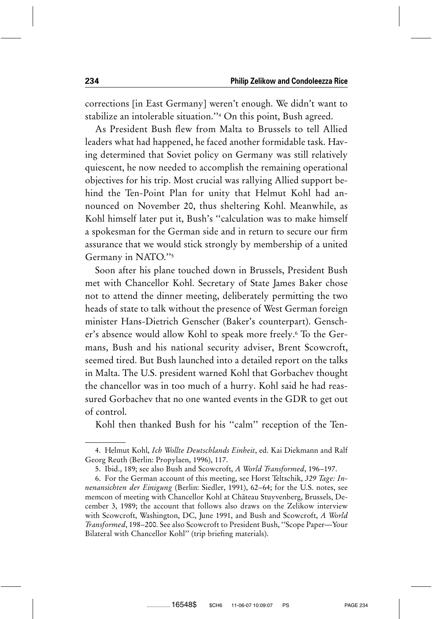corrections [in East Germany] weren't enough. We didn't want to stabilize an intolerable situation.''4 On this point, Bush agreed.

As President Bush flew from Malta to Brussels to tell Allied leaders what had happened, he faced another formidable task. Having determined that Soviet policy on Germany was still relatively quiescent, he now needed to accomplish the remaining operational objectives for his trip. Most crucial was rallying Allied support behind the Ten-Point Plan for unity that Helmut Kohl had announced on November 20, thus sheltering Kohl. Meanwhile, as Kohl himself later put it, Bush's ''calculation was to make himself a spokesman for the German side and in return to secure our firm assurance that we would stick strongly by membership of a united Germany in NATO.''5

Soon after his plane touched down in Brussels, President Bush met with Chancellor Kohl. Secretary of State James Baker chose not to attend the dinner meeting, deliberately permitting the two heads of state to talk without the presence of West German foreign minister Hans-Dietrich Genscher (Baker's counterpart). Genscher's absence would allow Kohl to speak more freely.6 To the Germans, Bush and his national security adviser, Brent Scowcroft, seemed tired. But Bush launched into a detailed report on the talks in Malta. The U.S. president warned Kohl that Gorbachev thought the chancellor was in too much of a hurry. Kohl said he had reassured Gorbachev that no one wanted events in the GDR to get out of control.

Kohl then thanked Bush for his "calm" reception of the Ten-

<sup>4.</sup> Helmut Kohl, *Ich Wollte Deutschlands Einheit*, ed. Kai Diekmann and Ralf Georg Reuth (Berlin: Propylaen, 1996), 117.

<sup>5.</sup> Ibid., 189; see also Bush and Scowcroft, *A World Transformed*, 196–197.

<sup>6.</sup> For the German account of this meeting, see Horst Teltschik, *329 Tage: Innenansichten der Einigung* (Berlin: Siedler, 1991), 62–64; for the U.S. notes, see memcon of meeting with Chancellor Kohl at Château Stuyvenberg, Brussels, December 3, 1989; the account that follows also draws on the Zelikow interview with Scowcroft, Washington, DC, June 1991, and Bush and Scowcroft, *A World Transformed*, 198–200. See also Scowcroft to President Bush, ''Scope Paper—Your Bilateral with Chancellor Kohl'' (trip briefing materials).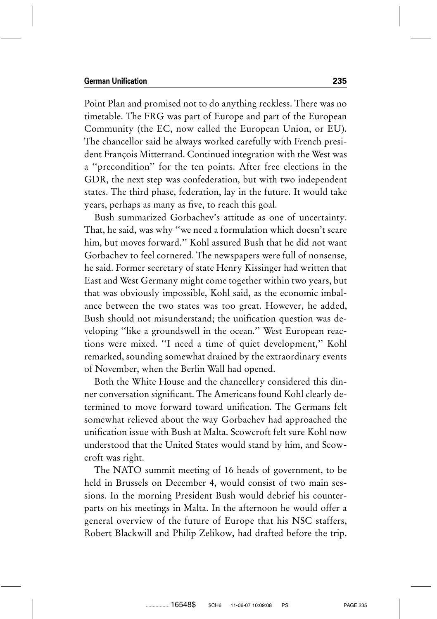Point Plan and promised not to do anything reckless. There was no timetable. The FRG was part of Europe and part of the European Community (the EC, now called the European Union, or EU). The chancellor said he always worked carefully with French president François Mitterrand. Continued integration with the West was a ''precondition'' for the ten points. After free elections in the GDR, the next step was confederation, but with two independent states. The third phase, federation, lay in the future. It would take years, perhaps as many as five, to reach this goal.

Bush summarized Gorbachev's attitude as one of uncertainty. That, he said, was why ''we need a formulation which doesn't scare him, but moves forward.'' Kohl assured Bush that he did not want Gorbachev to feel cornered. The newspapers were full of nonsense, he said. Former secretary of state Henry Kissinger had written that East and West Germany might come together within two years, but that was obviously impossible, Kohl said, as the economic imbalance between the two states was too great. However, he added, Bush should not misunderstand; the unification question was developing ''like a groundswell in the ocean.'' West European reactions were mixed. ''I need a time of quiet development,'' Kohl remarked, sounding somewhat drained by the extraordinary events of November, when the Berlin Wall had opened.

Both the White House and the chancellery considered this dinner conversation significant. The Americans found Kohl clearly determined to move forward toward unification. The Germans felt somewhat relieved about the way Gorbachev had approached the unification issue with Bush at Malta. Scowcroft felt sure Kohl now understood that the United States would stand by him, and Scowcroft was right.

The NATO summit meeting of 16 heads of government, to be held in Brussels on December 4, would consist of two main sessions. In the morning President Bush would debrief his counterparts on his meetings in Malta. In the afternoon he would offer a general overview of the future of Europe that his NSC staffers, Robert Blackwill and Philip Zelikow, had drafted before the trip.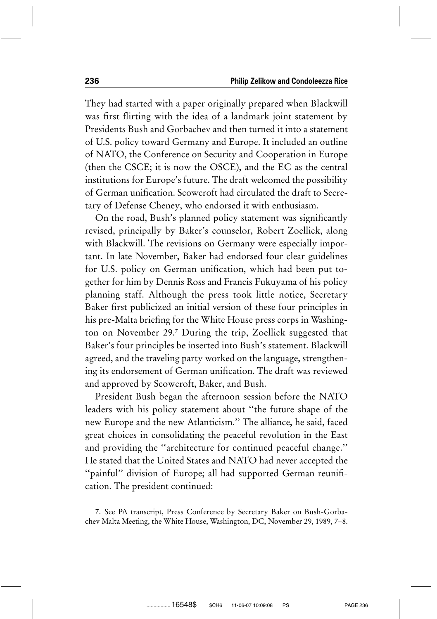They had started with a paper originally prepared when Blackwill was first flirting with the idea of a landmark joint statement by Presidents Bush and Gorbachev and then turned it into a statement of U.S. policy toward Germany and Europe. It included an outline of NATO, the Conference on Security and Cooperation in Europe (then the CSCE; it is now the OSCE), and the EC as the central institutions for Europe's future. The draft welcomed the possibility of German unification. Scowcroft had circulated the draft to Secretary of Defense Cheney, who endorsed it with enthusiasm.

On the road, Bush's planned policy statement was significantly revised, principally by Baker's counselor, Robert Zoellick, along with Blackwill. The revisions on Germany were especially important. In late November, Baker had endorsed four clear guidelines for U.S. policy on German unification, which had been put together for him by Dennis Ross and Francis Fukuyama of his policy planning staff. Although the press took little notice, Secretary Baker first publicized an initial version of these four principles in his pre-Malta briefing for the White House press corps in Washington on November 29.7 During the trip, Zoellick suggested that Baker's four principles be inserted into Bush's statement. Blackwill agreed, and the traveling party worked on the language, strengthening its endorsement of German unification. The draft was reviewed and approved by Scowcroft, Baker, and Bush.

President Bush began the afternoon session before the NATO leaders with his policy statement about ''the future shape of the new Europe and the new Atlanticism.'' The alliance, he said, faced great choices in consolidating the peaceful revolution in the East and providing the ''architecture for continued peaceful change.'' He stated that the United States and NATO had never accepted the "painful" division of Europe; all had supported German reunification. The president continued:

<sup>7.</sup> See PA transcript, Press Conference by Secretary Baker on Bush-Gorbachev Malta Meeting, the White House, Washington, DC, November 29, 1989, 7–8.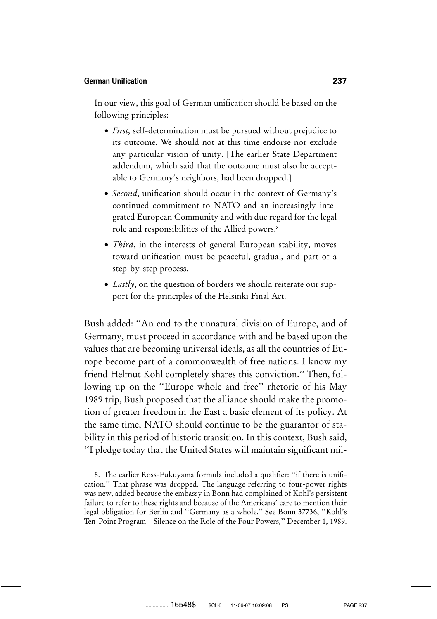In our view, this goal of German unification should be based on the following principles:

- *First,* self-determination must be pursued without prejudice to its outcome. We should not at this time endorse nor exclude any particular vision of unity. [The earlier State Department addendum, which said that the outcome must also be acceptable to Germany's neighbors, had been dropped.]
- *Second*, unification should occur in the context of Germany's continued commitment to NATO and an increasingly integrated European Community and with due regard for the legal role and responsibilities of the Allied powers.<sup>8</sup>
- *Third*, in the interests of general European stability, moves toward unification must be peaceful, gradual, and part of a step-by-step process.
- *Lastly*, on the question of borders we should reiterate our support for the principles of the Helsinki Final Act.

Bush added: ''An end to the unnatural division of Europe, and of Germany, must proceed in accordance with and be based upon the values that are becoming universal ideals, as all the countries of Europe become part of a commonwealth of free nations. I know my friend Helmut Kohl completely shares this conviction.'' Then, following up on the "Europe whole and free" rhetoric of his May 1989 trip, Bush proposed that the alliance should make the promotion of greater freedom in the East a basic element of its policy. At the same time, NATO should continue to be the guarantor of stability in this period of historic transition. In this context, Bush said, ''I pledge today that the United States will maintain significant mil-

<sup>8.</sup> The earlier Ross-Fukuyama formula included a qualifier: ''if there is unification.'' That phrase was dropped. The language referring to four-power rights was new, added because the embassy in Bonn had complained of Kohl's persistent failure to refer to these rights and because of the Americans' care to mention their legal obligation for Berlin and ''Germany as a whole.'' See Bonn 37736, ''Kohl's Ten-Point Program—Silence on the Role of the Four Powers,'' December 1, 1989.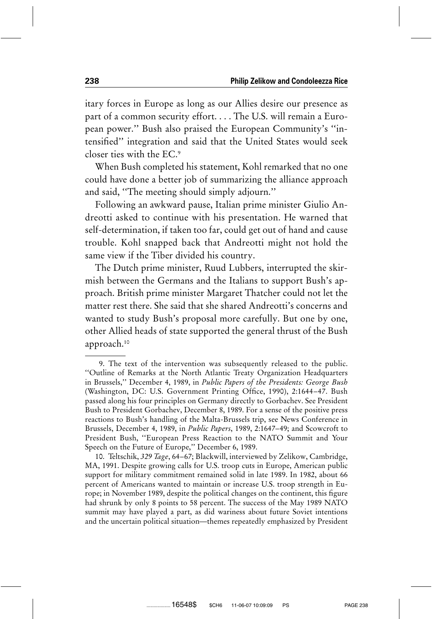itary forces in Europe as long as our Allies desire our presence as part of a common security effort. . . . The U.S. will remain a European power.'' Bush also praised the European Community's ''intensified'' integration and said that the United States would seek closer ties with the EC.9

When Bush completed his statement, Kohl remarked that no one could have done a better job of summarizing the alliance approach and said, ''The meeting should simply adjourn.''

Following an awkward pause, Italian prime minister Giulio Andreotti asked to continue with his presentation. He warned that self-determination, if taken too far, could get out of hand and cause trouble. Kohl snapped back that Andreotti might not hold the same view if the Tiber divided his country.

The Dutch prime minister, Ruud Lubbers, interrupted the skirmish between the Germans and the Italians to support Bush's approach. British prime minister Margaret Thatcher could not let the matter rest there. She said that she shared Andreotti's concerns and wanted to study Bush's proposal more carefully. But one by one, other Allied heads of state supported the general thrust of the Bush approach.10

<sup>9.</sup> The text of the intervention was subsequently released to the public. ''Outline of Remarks at the North Atlantic Treaty Organization Headquarters in Brussels,'' December 4, 1989, in *Public Papers of the Presidents: George Bush* (Washington, DC: U.S. Government Printing Office, 1990), 2:1644–47. Bush passed along his four principles on Germany directly to Gorbachev. See President Bush to President Gorbachev, December 8, 1989. For a sense of the positive press reactions to Bush's handling of the Malta-Brussels trip, see News Conference in Brussels, December 4, 1989, in *Public Papers*, 1989, 2:1647–49; and Scowcroft to President Bush, ''European Press Reaction to the NATO Summit and Your Speech on the Future of Europe,'' December 6, 1989.

<sup>10.</sup> Teltschik, *329 Tage*, 64–67; Blackwill, interviewed by Zelikow, Cambridge, MA, 1991. Despite growing calls for U.S. troop cuts in Europe, American public support for military commitment remained solid in late 1989. In 1982, about 66 percent of Americans wanted to maintain or increase U.S. troop strength in Europe; in November 1989, despite the political changes on the continent, this figure had shrunk by only 8 points to 58 percent. The success of the May 1989 NATO summit may have played a part, as did wariness about future Soviet intentions and the uncertain political situation—themes repeatedly emphasized by President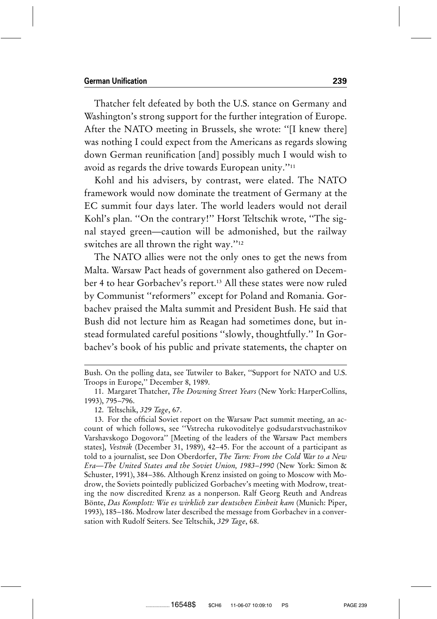Thatcher felt defeated by both the U.S. stance on Germany and Washington's strong support for the further integration of Europe. After the NATO meeting in Brussels, she wrote: ''[I knew there] was nothing I could expect from the Americans as regards slowing down German reunification [and] possibly much I would wish to avoid as regards the drive towards European unity.''11

Kohl and his advisers, by contrast, were elated. The NATO framework would now dominate the treatment of Germany at the EC summit four days later. The world leaders would not derail Kohl's plan. ''On the contrary!'' Horst Teltschik wrote, ''The signal stayed green—caution will be admonished, but the railway switches are all thrown the right way."<sup>12</sup>

The NATO allies were not the only ones to get the news from Malta. Warsaw Pact heads of government also gathered on December 4 to hear Gorbachev's report.<sup>13</sup> All these states were now ruled by Communist ''reformers'' except for Poland and Romania. Gorbachev praised the Malta summit and President Bush. He said that Bush did not lecture him as Reagan had sometimes done, but instead formulated careful positions ''slowly, thoughtfully.'' In Gorbachev's book of his public and private statements, the chapter on

Bush. On the polling data, see Tutwiler to Baker, ''Support for NATO and U.S. Troops in Europe,'' December 8, 1989.

<sup>11.</sup> Margaret Thatcher, *The Downing Street Years* (New York: HarperCollins, 1993), 795–796.

<sup>12.</sup> Teltschik, *329 Tage*, 67.

<sup>13.</sup> For the official Soviet report on the Warsaw Pact summit meeting, an account of which follows, see ''Vstrecha rukovoditelye godsudarstvuchastnikov Varshavskogo Dogovora'' [Meeting of the leaders of the Warsaw Pact members states], *Vestnik* (December 31, 1989), 42–45. For the account of a participant as told to a journalist, see Don Oberdorfer, *The Turn: From the Cold War to a New Era—The United States and the Soviet Union, 1983–1990* (New York: Simon & Schuster, 1991), 384–386. Although Krenz insisted on going to Moscow with Modrow, the Soviets pointedly publicized Gorbachev's meeting with Modrow, treating the now discredited Krenz as a nonperson. Ralf Georg Reuth and Andreas Bönte, *Das Komplott: Wie es wirklich zur deutschen Einheit kam* (Munich: Piper, 1993), 185–186. Modrow later described the message from Gorbachev in a conversation with Rudolf Seiters. See Teltschik, *329 Tage*, 68.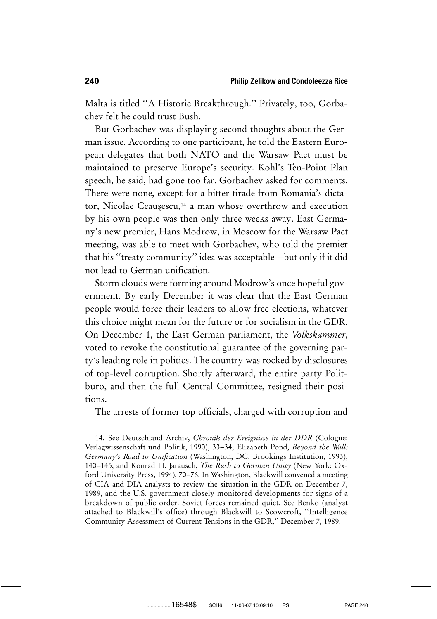Malta is titled ''A Historic Breakthrough.'' Privately, too, Gorbachev felt he could trust Bush.

But Gorbachev was displaying second thoughts about the German issue. According to one participant, he told the Eastern European delegates that both NATO and the Warsaw Pact must be maintained to preserve Europe's security. Kohl's Ten-Point Plan speech, he said, had gone too far. Gorbachev asked for comments. There were none, except for a bitter tirade from Romania's dictator, Nicolae Ceausescu,<sup>14</sup> a man whose overthrow and execution by his own people was then only three weeks away. East Germany's new premier, Hans Modrow, in Moscow for the Warsaw Pact meeting, was able to meet with Gorbachev, who told the premier that his ''treaty community'' idea was acceptable—but only if it did not lead to German unification.

Storm clouds were forming around Modrow's once hopeful government. By early December it was clear that the East German people would force their leaders to allow free elections, whatever this choice might mean for the future or for socialism in the GDR. On December 1, the East German parliament, the *Volkskammer*, voted to revoke the constitutional guarantee of the governing party's leading role in politics. The country was rocked by disclosures of top-level corruption. Shortly afterward, the entire party Politburo, and then the full Central Committee, resigned their positions.

The arrests of former top officials, charged with corruption and

<sup>14.</sup> See Deutschland Archiv, *Chronik der Ereignisse in der DDR* (Cologne: Verlagwissenschaft und Politik, 1990), 33–34; Elizabeth Pond, *Beyond the Wall: Germany's Road to Unification* (Washington, DC: Brookings Institution, 1993), 140–145; and Konrad H. Jarausch, *The Rush to German Unity* (New York: Oxford University Press, 1994), 70–76. In Washington, Blackwill convened a meeting of CIA and DIA analysts to review the situation in the GDR on December 7, 1989, and the U.S. government closely monitored developments for signs of a breakdown of public order. Soviet forces remained quiet. See Benko (analyst attached to Blackwill's office) through Blackwill to Scowcroft, ''Intelligence Community Assessment of Current Tensions in the GDR,'' December 7, 1989.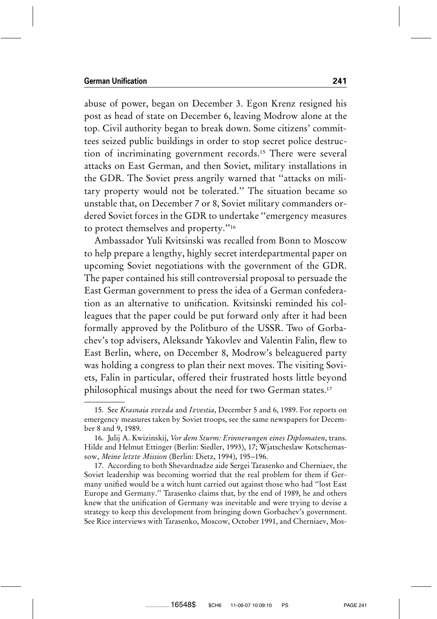abuse of power, began on December 3. Egon Krenz resigned his post as head of state on December 6, leaving Modrow alone at the top. Civil authority began to break down. Some citizens' committees seized public buildings in order to stop secret police destruction of incriminating government records.15 There were several attacks on East German, and then Soviet, military installations in the GDR. The Soviet press angrily warned that ''attacks on military property would not be tolerated.'' The situation became so unstable that, on December 7 or 8, Soviet military commanders ordered Soviet forces in the GDR to undertake ''emergency measures to protect themselves and property.''16

Ambassador Yuli Kvitsinski was recalled from Bonn to Moscow to help prepare a lengthy, highly secret interdepartmental paper on upcoming Soviet negotiations with the government of the GDR. The paper contained his still controversial proposal to persuade the East German government to press the idea of a German confederation as an alternative to unification. Kvitsinski reminded his colleagues that the paper could be put forward only after it had been formally approved by the Politburo of the USSR. Two of Gorbachev's top advisers, Aleksandr Yakovlev and Valentin Falin, flew to East Berlin, where, on December 8, Modrow's beleaguered party was holding a congress to plan their next moves. The visiting Soviets, Falin in particular, offered their frustrated hosts little beyond philosophical musings about the need for two German states.17

<sup>15.</sup> See *Krasnaia zvezda* and *Izvestia*, December 5 and 6, 1989. For reports on emergency measures taken by Soviet troops, see the same newspapers for December 8 and 9, 1989.

<sup>16.</sup> Julij A. Kwizinskij, *Vor dem Sturm: Erinnerungen eines Diplomaten*, trans. Hilde and Helmut Ettinger (Berlin: Siedler, 1993), 17; Wjatscheslaw Kotschemassow, *Meine letzte Mission* (Berlin: Dietz, 1994), 195–196.

<sup>17.</sup> According to both Shevardnadze aide Sergei Tarasenko and Cherniaev, the Soviet leadership was becoming worried that the real problem for them if Germany unified would be a witch hunt carried out against those who had ''lost East Europe and Germany.'' Tarasenko claims that, by the end of 1989, he and others knew that the unification of Germany was inevitable and were trying to devise a strategy to keep this development from bringing down Gorbachev's government. See Rice interviews with Tarasenko, Moscow, October 1991, and Cherniaev, Mos-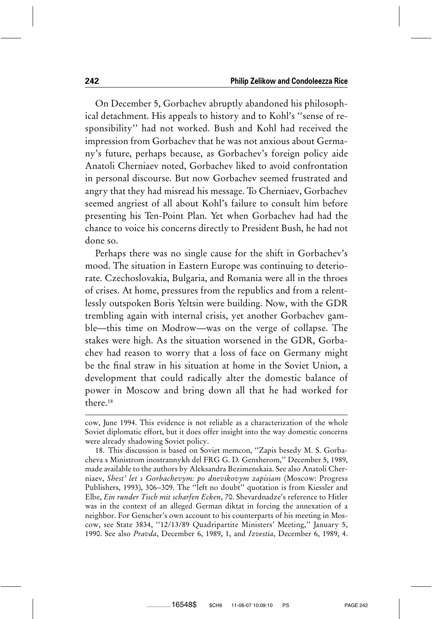On December 5, Gorbachev abruptly abandoned his philosophical detachment. His appeals to history and to Kohl's ''sense of responsibility'' had not worked. Bush and Kohl had received the impression from Gorbachev that he was not anxious about Germany's future, perhaps because, as Gorbachev's foreign policy aide Anatoli Cherniaev noted, Gorbachev liked to avoid confrontation in personal discourse. But now Gorbachev seemed frustrated and angry that they had misread his message. To Cherniaev, Gorbachev seemed angriest of all about Kohl's failure to consult him before presenting his Ten-Point Plan. Yet when Gorbachev had had the chance to voice his concerns directly to President Bush, he had not done so.

Perhaps there was no single cause for the shift in Gorbachev's mood. The situation in Eastern Europe was continuing to deteriorate. Czechoslovakia, Bulgaria, and Romania were all in the throes of crises. At home, pressures from the republics and from a relentlessly outspoken Boris Yeltsin were building. Now, with the GDR trembling again with internal crisis, yet another Gorbachev gamble—this time on Modrow—was on the verge of collapse. The stakes were high. As the situation worsened in the GDR, Gorbachev had reason to worry that a loss of face on Germany might be the final straw in his situation at home in the Soviet Union, a development that could radically alter the domestic balance of power in Moscow and bring down all that he had worked for there.18

18. This discussion is based on Soviet memcon, ''Zapis besedy M. S. Gorbacheva s Ministrom inostrannykh del FRG G. D. Gensherom,'' December 5, 1989, made available to the authors by Aleksandra Bezimenskaia. See also Anatoli Cherniaev, *Shest' let s Gorbachevym: po dnevikovym zapisiam* (Moscow: Progress Publishers, 1993), 306–309. The ''left no doubt'' quotation is from Kiessler and Elbe, *Ein runder Tisch mit scharfen Ecken*, 70. Shevardnadze's reference to Hitler was in the context of an alleged German diktat in forcing the annexation of a neighbor. For Genscher's own account to his counterparts of his meeting in Moscow, see State 3834, ''12/13/89 Quadripartite Ministers' Meeting,'' January 5, 1990. See also *Pravda*, December 6, 1989, 1, and *Izvestia*, December 6, 1989, 4.

cow, June 1994. This evidence is not reliable as a characterization of the whole Soviet diplomatic effort, but it does offer insight into the way domestic concerns were already shadowing Soviet policy.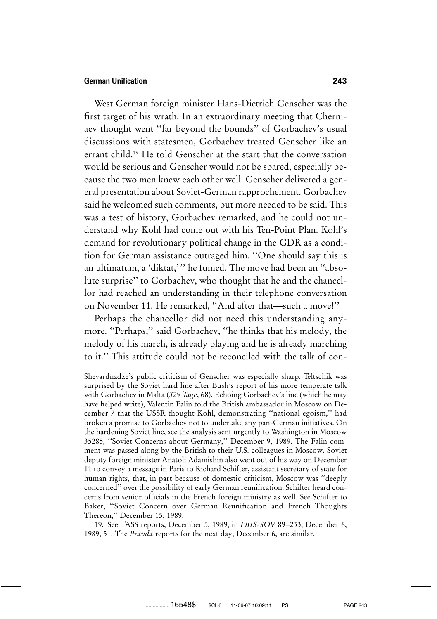West German foreign minister Hans-Dietrich Genscher was the first target of his wrath. In an extraordinary meeting that Cherniaev thought went ''far beyond the bounds'' of Gorbachev's usual discussions with statesmen, Gorbachev treated Genscher like an errant child.19 He told Genscher at the start that the conversation would be serious and Genscher would not be spared, especially because the two men knew each other well. Genscher delivered a general presentation about Soviet-German rapprochement. Gorbachev said he welcomed such comments, but more needed to be said. This was a test of history, Gorbachev remarked, and he could not understand why Kohl had come out with his Ten-Point Plan. Kohl's demand for revolutionary political change in the GDR as a condition for German assistance outraged him. ''One should say this is an ultimatum, a 'diktat,'" he fumed. The move had been an "absolute surprise'' to Gorbachev, who thought that he and the chancellor had reached an understanding in their telephone conversation on November 11. He remarked, ''And after that—such a move!''

Perhaps the chancellor did not need this understanding anymore. ''Perhaps,'' said Gorbachev, ''he thinks that his melody, the melody of his march, is already playing and he is already marching to it.'' This attitude could not be reconciled with the talk of con-

19. See TASS reports, December 5, 1989, in *FBIS-SOV* 89–233, December 6, 1989, 51. The *Pravda* reports for the next day, December 6, are similar.

Shevardnadze's public criticism of Genscher was especially sharp. Teltschik was surprised by the Soviet hard line after Bush's report of his more temperate talk with Gorbachev in Malta (*329 Tage*, 68). Echoing Gorbachev's line (which he may have helped write), Valentin Falin told the British ambassador in Moscow on December 7 that the USSR thought Kohl, demonstrating ''national egoism,'' had broken a promise to Gorbachev not to undertake any pan-German initiatives. On the hardening Soviet line, see the analysis sent urgently to Washington in Moscow 35285, ''Soviet Concerns about Germany,'' December 9, 1989. The Falin comment was passed along by the British to their U.S. colleagues in Moscow. Soviet deputy foreign minister Anatoli Adamishin also went out of his way on December 11 to convey a message in Paris to Richard Schifter, assistant secretary of state for human rights, that, in part because of domestic criticism, Moscow was ''deeply concerned'' over the possibility of early German reunification. Schifter heard concerns from senior officials in the French foreign ministry as well. See Schifter to Baker, ''Soviet Concern over German Reunification and French Thoughts Thereon,'' December 15, 1989.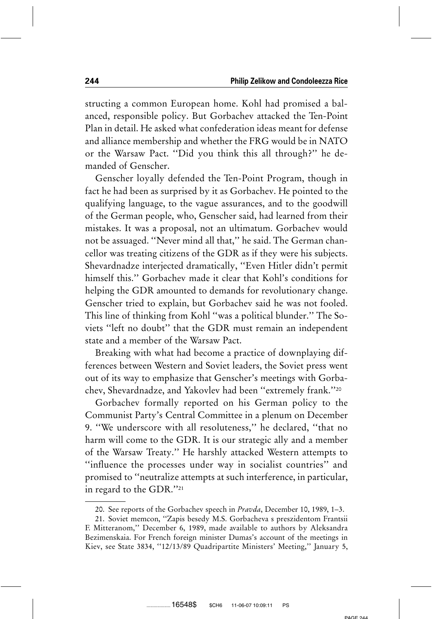structing a common European home. Kohl had promised a balanced, responsible policy. But Gorbachev attacked the Ten-Point Plan in detail. He asked what confederation ideas meant for defense and alliance membership and whether the FRG would be in NATO or the Warsaw Pact. ''Did you think this all through?'' he demanded of Genscher.

Genscher loyally defended the Ten-Point Program, though in fact he had been as surprised by it as Gorbachev. He pointed to the qualifying language, to the vague assurances, and to the goodwill of the German people, who, Genscher said, had learned from their mistakes. It was a proposal, not an ultimatum. Gorbachev would not be assuaged. ''Never mind all that,'' he said. The German chancellor was treating citizens of the GDR as if they were his subjects. Shevardnadze interjected dramatically, ''Even Hitler didn't permit himself this.'' Gorbachev made it clear that Kohl's conditions for helping the GDR amounted to demands for revolutionary change. Genscher tried to explain, but Gorbachev said he was not fooled. This line of thinking from Kohl ''was a political blunder.'' The Soviets ''left no doubt'' that the GDR must remain an independent state and a member of the Warsaw Pact.

Breaking with what had become a practice of downplaying differences between Western and Soviet leaders, the Soviet press went out of its way to emphasize that Genscher's meetings with Gorbachev, Shevardnadze, and Yakovlev had been ''extremely frank.''20

Gorbachev formally reported on his German policy to the Communist Party's Central Committee in a plenum on December 9. ''We underscore with all resoluteness,'' he declared, ''that no harm will come to the GDR. It is our strategic ally and a member of the Warsaw Treaty.'' He harshly attacked Western attempts to ''influence the processes under way in socialist countries'' and promised to ''neutralize attempts at such interference, in particular, in regard to the GDR.''21

<sup>20.</sup> See reports of the Gorbachev speech in *Pravda*, December 10, 1989, 1–3.

<sup>21.</sup> Soviet memcon, ''Zapis besedy M.S. Gorbacheva s preszidentom Frantsii F. Mitteranom,'' December 6, 1989, made available to authors by Aleksandra Bezimenskaia. For French foreign minister Dumas's account of the meetings in Kiev, see State 3834, ''12/13/89 Quadripartite Ministers' Meeting,'' January 5,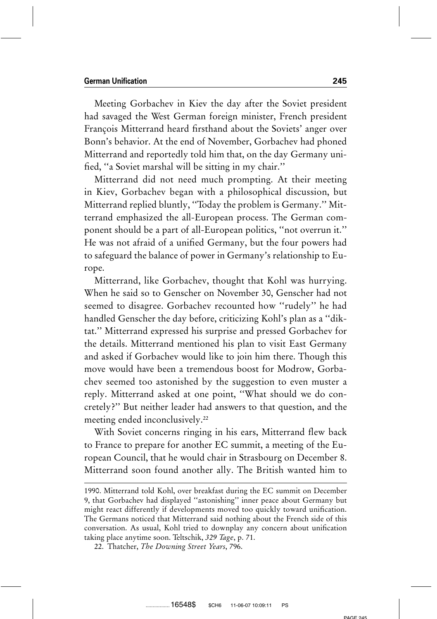Meeting Gorbachev in Kiev the day after the Soviet president had savaged the West German foreign minister, French president François Mitterrand heard firsthand about the Soviets' anger over Bonn's behavior. At the end of November, Gorbachev had phoned Mitterrand and reportedly told him that, on the day Germany unified, ''a Soviet marshal will be sitting in my chair.''

Mitterrand did not need much prompting. At their meeting in Kiev, Gorbachev began with a philosophical discussion, but Mitterrand replied bluntly, ''Today the problem is Germany.'' Mitterrand emphasized the all-European process. The German component should be a part of all-European politics, ''not overrun it.'' He was not afraid of a unified Germany, but the four powers had to safeguard the balance of power in Germany's relationship to Europe.

Mitterrand, like Gorbachev, thought that Kohl was hurrying. When he said so to Genscher on November 30, Genscher had not seemed to disagree. Gorbachev recounted how ''rudely'' he had handled Genscher the day before, criticizing Kohl's plan as a ''diktat.'' Mitterrand expressed his surprise and pressed Gorbachev for the details. Mitterrand mentioned his plan to visit East Germany and asked if Gorbachev would like to join him there. Though this move would have been a tremendous boost for Modrow, Gorbachev seemed too astonished by the suggestion to even muster a reply. Mitterrand asked at one point, ''What should we do concretely?'' But neither leader had answers to that question, and the meeting ended inconclusively.22

With Soviet concerns ringing in his ears, Mitterrand flew back to France to prepare for another EC summit, a meeting of the European Council, that he would chair in Strasbourg on December 8. Mitterrand soon found another ally. The British wanted him to

<sup>1990.</sup> Mitterrand told Kohl, over breakfast during the EC summit on December 9, that Gorbachev had displayed ''astonishing'' inner peace about Germany but might react differently if developments moved too quickly toward unification. The Germans noticed that Mitterrand said nothing about the French side of this conversation. As usual, Kohl tried to downplay any concern about unification taking place anytime soon. Teltschik, *329 Tage*, p. 71.

<sup>22.</sup> Thatcher, *The Downing Street Years*, 796.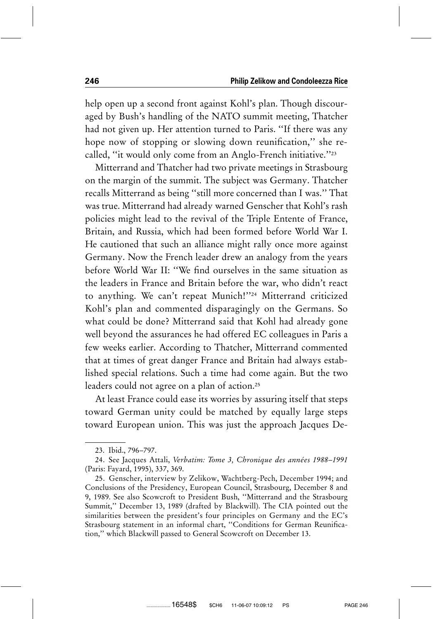help open up a second front against Kohl's plan. Though discouraged by Bush's handling of the NATO summit meeting, Thatcher had not given up. Her attention turned to Paris. ''If there was any hope now of stopping or slowing down reunification," she recalled, ''it would only come from an Anglo-French initiative.''23

Mitterrand and Thatcher had two private meetings in Strasbourg on the margin of the summit. The subject was Germany. Thatcher recalls Mitterrand as being ''still more concerned than I was.'' That was true. Mitterrand had already warned Genscher that Kohl's rash policies might lead to the revival of the Triple Entente of France, Britain, and Russia, which had been formed before World War I. He cautioned that such an alliance might rally once more against Germany. Now the French leader drew an analogy from the years before World War II: ''We find ourselves in the same situation as the leaders in France and Britain before the war, who didn't react to anything. We can't repeat Munich!''24 Mitterrand criticized Kohl's plan and commented disparagingly on the Germans. So what could be done? Mitterrand said that Kohl had already gone well beyond the assurances he had offered EC colleagues in Paris a few weeks earlier. According to Thatcher, Mitterrand commented that at times of great danger France and Britain had always established special relations. Such a time had come again. But the two leaders could not agree on a plan of action.25

At least France could ease its worries by assuring itself that steps toward German unity could be matched by equally large steps toward European union. This was just the approach Jacques De-

<sup>23.</sup> Ibid., 796–797.

<sup>24.</sup> See Jacques Attali, *Verbatim: Tome 3, Chronique des années 1988-1991* (Paris: Fayard, 1995), 337, 369.

<sup>25.</sup> Genscher, interview by Zelikow, Wachtberg-Pech, December 1994; and Conclusions of the Presidency, European Council, Strasbourg, December 8 and 9, 1989. See also Scowcroft to President Bush, ''Mitterrand and the Strasbourg Summit,'' December 13, 1989 (drafted by Blackwill). The CIA pointed out the similarities between the president's four principles on Germany and the EC's Strasbourg statement in an informal chart, ''Conditions for German Reunification,'' which Blackwill passed to General Scowcroft on December 13.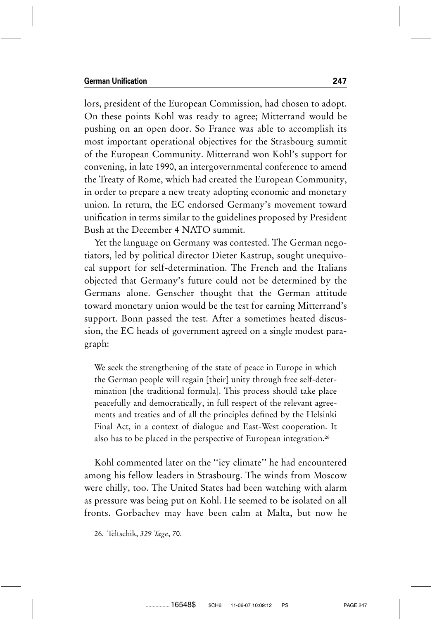lors, president of the European Commission, had chosen to adopt. On these points Kohl was ready to agree; Mitterrand would be pushing on an open door. So France was able to accomplish its most important operational objectives for the Strasbourg summit of the European Community. Mitterrand won Kohl's support for convening, in late 1990, an intergovernmental conference to amend the Treaty of Rome, which had created the European Community, in order to prepare a new treaty adopting economic and monetary union. In return, the EC endorsed Germany's movement toward unification in terms similar to the guidelines proposed by President Bush at the December 4 NATO summit.

Yet the language on Germany was contested. The German negotiators, led by political director Dieter Kastrup, sought unequivocal support for self-determination. The French and the Italians objected that Germany's future could not be determined by the Germans alone. Genscher thought that the German attitude toward monetary union would be the test for earning Mitterrand's support. Bonn passed the test. After a sometimes heated discussion, the EC heads of government agreed on a single modest paragraph:

We seek the strengthening of the state of peace in Europe in which the German people will regain [their] unity through free self-determination [the traditional formula]. This process should take place peacefully and democratically, in full respect of the relevant agreements and treaties and of all the principles defined by the Helsinki Final Act, in a context of dialogue and East-West cooperation. It also has to be placed in the perspective of European integration.26

Kohl commented later on the ''icy climate'' he had encountered among his fellow leaders in Strasbourg. The winds from Moscow were chilly, too. The United States had been watching with alarm as pressure was being put on Kohl. He seemed to be isolated on all fronts. Gorbachev may have been calm at Malta, but now he

<sup>26.</sup> Teltschik, *329 Tage*, 70.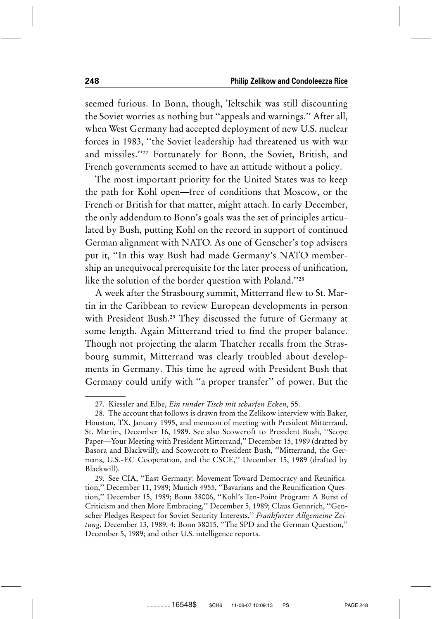seemed furious. In Bonn, though, Teltschik was still discounting the Soviet worries as nothing but ''appeals and warnings.'' After all, when West Germany had accepted deployment of new U.S. nuclear forces in 1983, ''the Soviet leadership had threatened us with war and missiles.''27 Fortunately for Bonn, the Soviet, British, and French governments seemed to have an attitude without a policy.

The most important priority for the United States was to keep the path for Kohl open—free of conditions that Moscow, or the French or British for that matter, might attach. In early December, the only addendum to Bonn's goals was the set of principles articulated by Bush, putting Kohl on the record in support of continued German alignment with NATO. As one of Genscher's top advisers put it, ''In this way Bush had made Germany's NATO membership an unequivocal prerequisite for the later process of unification, like the solution of the border question with Poland.''28

A week after the Strasbourg summit, Mitterrand flew to St. Martin in the Caribbean to review European developments in person with President Bush.<sup>29</sup> They discussed the future of Germany at some length. Again Mitterrand tried to find the proper balance. Though not projecting the alarm Thatcher recalls from the Strasbourg summit, Mitterrand was clearly troubled about developments in Germany. This time he agreed with President Bush that Germany could unify with ''a proper transfer'' of power. But the

<sup>27.</sup> Kiessler and Elbe, *Ein runder Tisch mit scharfen Ecken*, 55.

<sup>28.</sup> The account that follows is drawn from the Zelikow interview with Baker, Houston, TX, January 1995, and memcon of meeting with President Mitterrand, St. Martin, December 16, 1989. See also Scowcroft to President Bush, ''Scope Paper—Your Meeting with President Mitterrand,'' December 15, 1989 (drafted by Basora and Blackwill); and Scowcroft to President Bush, ''Mitterrand, the Germans, U.S.-EC Cooperation, and the CSCE,'' December 15, 1989 (drafted by Blackwill).

<sup>29.</sup> See CIA, ''East Germany: Movement Toward Democracy and Reunification,'' December 11, 1989; Munich 4955, ''Bavarians and the Reunification Question,'' December 15, 1989; Bonn 38006, ''Kohl's Ten-Point Program: A Burst of Criticism and then More Embracing,'' December 5, 1989; Claus Gennrich, ''Genscher Pledges Respect for Soviet Security Interests,'' *Frankfurter Allgemeine Zeitung*, December 13, 1989, 4; Bonn 38015, ''The SPD and the German Question,'' December 5, 1989; and other U.S. intelligence reports.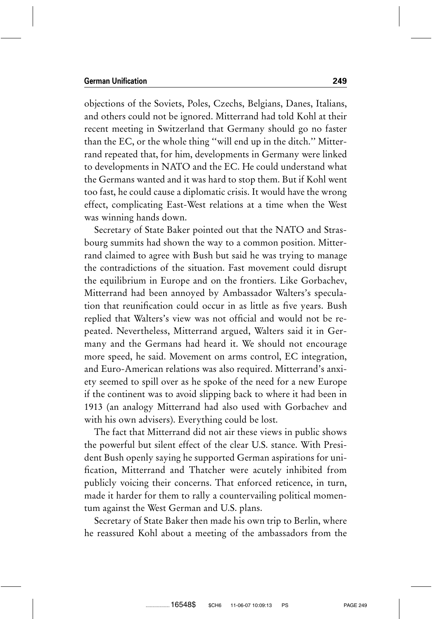objections of the Soviets, Poles, Czechs, Belgians, Danes, Italians, and others could not be ignored. Mitterrand had told Kohl at their recent meeting in Switzerland that Germany should go no faster than the EC, or the whole thing ''will end up in the ditch.'' Mitterrand repeated that, for him, developments in Germany were linked to developments in NATO and the EC. He could understand what the Germans wanted and it was hard to stop them. But if Kohl went too fast, he could cause a diplomatic crisis. It would have the wrong effect, complicating East-West relations at a time when the West was winning hands down.

Secretary of State Baker pointed out that the NATO and Strasbourg summits had shown the way to a common position. Mitterrand claimed to agree with Bush but said he was trying to manage the contradictions of the situation. Fast movement could disrupt the equilibrium in Europe and on the frontiers. Like Gorbachev, Mitterrand had been annoyed by Ambassador Walters's speculation that reunification could occur in as little as five years. Bush replied that Walters's view was not official and would not be repeated. Nevertheless, Mitterrand argued, Walters said it in Germany and the Germans had heard it. We should not encourage more speed, he said. Movement on arms control, EC integration, and Euro-American relations was also required. Mitterrand's anxiety seemed to spill over as he spoke of the need for a new Europe if the continent was to avoid slipping back to where it had been in 1913 (an analogy Mitterrand had also used with Gorbachev and with his own advisers). Everything could be lost.

The fact that Mitterrand did not air these views in public shows the powerful but silent effect of the clear U.S. stance. With President Bush openly saying he supported German aspirations for unification, Mitterrand and Thatcher were acutely inhibited from publicly voicing their concerns. That enforced reticence, in turn, made it harder for them to rally a countervailing political momentum against the West German and U.S. plans.

Secretary of State Baker then made his own trip to Berlin, where he reassured Kohl about a meeting of the ambassadors from the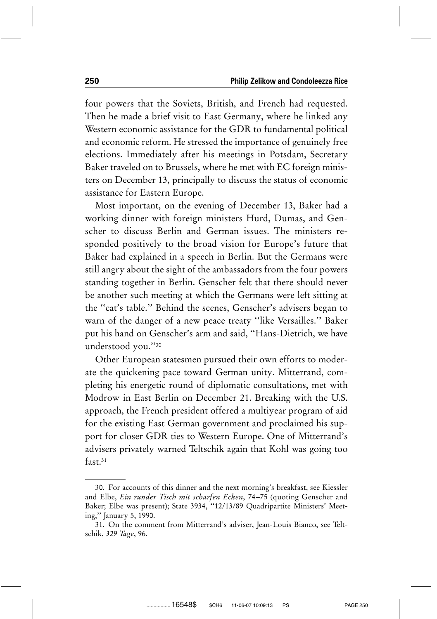four powers that the Soviets, British, and French had requested. Then he made a brief visit to East Germany, where he linked any Western economic assistance for the GDR to fundamental political and economic reform. He stressed the importance of genuinely free elections. Immediately after his meetings in Potsdam, Secretary Baker traveled on to Brussels, where he met with EC foreign ministers on December 13, principally to discuss the status of economic assistance for Eastern Europe.

Most important, on the evening of December 13, Baker had a working dinner with foreign ministers Hurd, Dumas, and Genscher to discuss Berlin and German issues. The ministers responded positively to the broad vision for Europe's future that Baker had explained in a speech in Berlin. But the Germans were still angry about the sight of the ambassadors from the four powers standing together in Berlin. Genscher felt that there should never be another such meeting at which the Germans were left sitting at the ''cat's table.'' Behind the scenes, Genscher's advisers began to warn of the danger of a new peace treaty "like Versailles." Baker put his hand on Genscher's arm and said, ''Hans-Dietrich, we have understood you.''30

Other European statesmen pursued their own efforts to moderate the quickening pace toward German unity. Mitterrand, completing his energetic round of diplomatic consultations, met with Modrow in East Berlin on December 21. Breaking with the U.S. approach, the French president offered a multiyear program of aid for the existing East German government and proclaimed his support for closer GDR ties to Western Europe. One of Mitterrand's advisers privately warned Teltschik again that Kohl was going too fast.31

<sup>30.</sup> For accounts of this dinner and the next morning's breakfast, see Kiessler and Elbe, *Ein runder Tisch mit scharfen Ecken*, 74–75 (quoting Genscher and Baker; Elbe was present); State 3934, ''12/13/89 Quadripartite Ministers' Meeting,'' January 5, 1990.

<sup>31.</sup> On the comment from Mitterrand's adviser, Jean-Louis Bianco, see Teltschik, *329 Tage*, 96.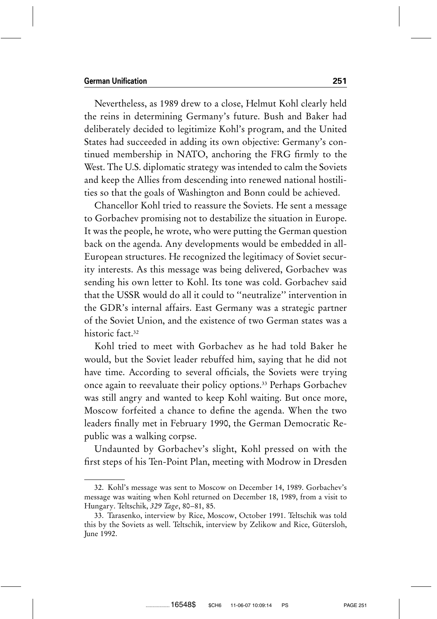Nevertheless, as 1989 drew to a close, Helmut Kohl clearly held the reins in determining Germany's future. Bush and Baker had deliberately decided to legitimize Kohl's program, and the United States had succeeded in adding its own objective: Germany's continued membership in NATO, anchoring the FRG firmly to the West. The U.S. diplomatic strategy was intended to calm the Soviets and keep the Allies from descending into renewed national hostilities so that the goals of Washington and Bonn could be achieved.

Chancellor Kohl tried to reassure the Soviets. He sent a message to Gorbachev promising not to destabilize the situation in Europe. It was the people, he wrote, who were putting the German question back on the agenda. Any developments would be embedded in all-European structures. He recognized the legitimacy of Soviet security interests. As this message was being delivered, Gorbachev was sending his own letter to Kohl. Its tone was cold. Gorbachev said that the USSR would do all it could to ''neutralize'' intervention in the GDR's internal affairs. East Germany was a strategic partner of the Soviet Union, and the existence of two German states was a historic fact.<sup>32</sup>

Kohl tried to meet with Gorbachev as he had told Baker he would, but the Soviet leader rebuffed him, saying that he did not have time. According to several officials, the Soviets were trying once again to reevaluate their policy options.33 Perhaps Gorbachev was still angry and wanted to keep Kohl waiting. But once more, Moscow forfeited a chance to define the agenda. When the two leaders finally met in February 1990, the German Democratic Republic was a walking corpse.

Undaunted by Gorbachev's slight, Kohl pressed on with the first steps of his Ten-Point Plan, meeting with Modrow in Dresden

<sup>32.</sup> Kohl's message was sent to Moscow on December 14, 1989. Gorbachev's message was waiting when Kohl returned on December 18, 1989, from a visit to Hungary. Teltschik, *329 Tage*, 80–81, 85.

<sup>33.</sup> Tarasenko, interview by Rice, Moscow, October 1991. Teltschik was told this by the Soviets as well. Teltschik, interview by Zelikow and Rice, Gütersloh, June 1992.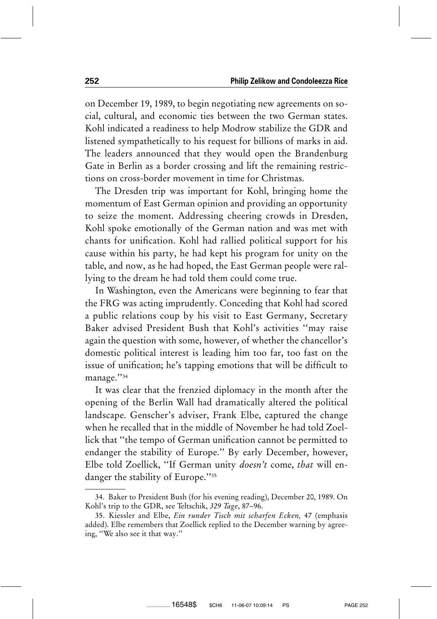on December 19, 1989, to begin negotiating new agreements on social, cultural, and economic ties between the two German states. Kohl indicated a readiness to help Modrow stabilize the GDR and listened sympathetically to his request for billions of marks in aid. The leaders announced that they would open the Brandenburg Gate in Berlin as a border crossing and lift the remaining restrictions on cross-border movement in time for Christmas.

The Dresden trip was important for Kohl, bringing home the momentum of East German opinion and providing an opportunity to seize the moment. Addressing cheering crowds in Dresden, Kohl spoke emotionally of the German nation and was met with chants for unification. Kohl had rallied political support for his cause within his party, he had kept his program for unity on the table, and now, as he had hoped, the East German people were rallying to the dream he had told them could come true.

In Washington, even the Americans were beginning to fear that the FRG was acting imprudently. Conceding that Kohl had scored a public relations coup by his visit to East Germany, Secretary Baker advised President Bush that Kohl's activities ''may raise again the question with some, however, of whether the chancellor's domestic political interest is leading him too far, too fast on the issue of unification; he's tapping emotions that will be difficult to manage."34

It was clear that the frenzied diplomacy in the month after the opening of the Berlin Wall had dramatically altered the political landscape. Genscher's adviser, Frank Elbe, captured the change when he recalled that in the middle of November he had told Zoellick that ''the tempo of German unification cannot be permitted to endanger the stability of Europe.'' By early December, however, Elbe told Zoellick, ''If German unity *doesn't* come, *that* will endanger the stability of Europe."<sup>35</sup>

<sup>34.</sup> Baker to President Bush (for his evening reading), December 20, 1989. On Kohl's trip to the GDR, see Teltschik, *329 Tage*, 87–96.

<sup>35.</sup> Kiessler and Elbe, *Ein runder Tisch mit scharfen Ecken,* 47 (emphasis added). Elbe remembers that Zoellick replied to the December warning by agreeing, ''We also see it that way.''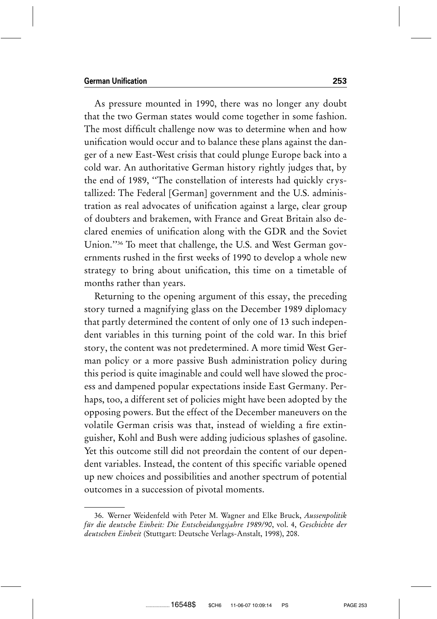As pressure mounted in 1990, there was no longer any doubt that the two German states would come together in some fashion. The most difficult challenge now was to determine when and how unification would occur and to balance these plans against the danger of a new East-West crisis that could plunge Europe back into a cold war. An authoritative German history rightly judges that, by the end of 1989, ''The constellation of interests had quickly crystallized: The Federal [German] government and the U.S. administration as real advocates of unification against a large, clear group of doubters and brakemen, with France and Great Britain also declared enemies of unification along with the GDR and the Soviet Union.''36 To meet that challenge, the U.S. and West German governments rushed in the first weeks of 1990 to develop a whole new strategy to bring about unification, this time on a timetable of months rather than years.

Returning to the opening argument of this essay, the preceding story turned a magnifying glass on the December 1989 diplomacy that partly determined the content of only one of 13 such independent variables in this turning point of the cold war. In this brief story, the content was not predetermined. A more timid West German policy or a more passive Bush administration policy during this period is quite imaginable and could well have slowed the process and dampened popular expectations inside East Germany. Perhaps, too, a different set of policies might have been adopted by the opposing powers. But the effect of the December maneuvers on the volatile German crisis was that, instead of wielding a fire extinguisher, Kohl and Bush were adding judicious splashes of gasoline. Yet this outcome still did not preordain the content of our dependent variables. Instead, the content of this specific variable opened up new choices and possibilities and another spectrum of potential outcomes in a succession of pivotal moments.

<sup>36.</sup> Werner Weidenfeld with Peter M. Wagner and Elke Bruck, *Aussenpolitik fu¨r die deutsche Einheit: Die Entscheidungsjahre 1989/90*, vol. 4, *Geschichte der deutschen Einheit* (Stuttgart: Deutsche Verlags-Anstalt, 1998), 208.